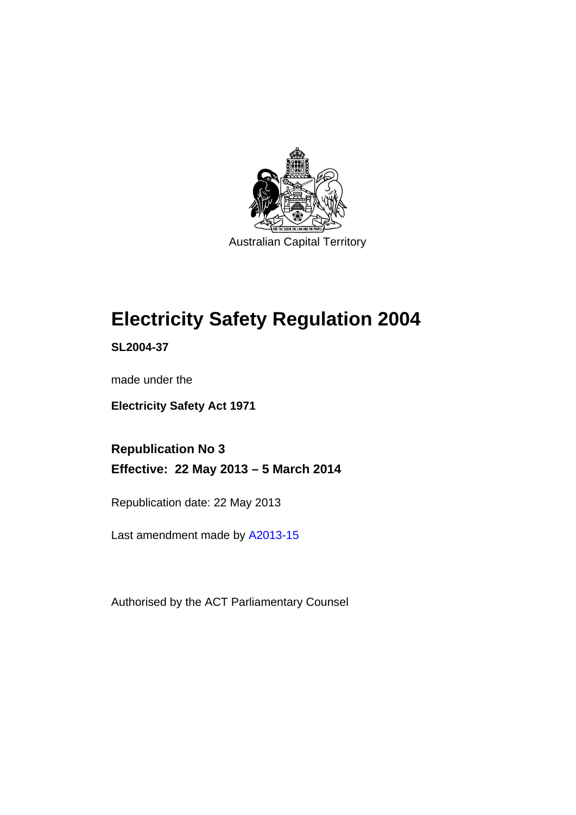

# **Electricity Safety Regulation 2004**

**SL2004-37** 

made under the

**Electricity Safety Act 1971** 

**Republication No 3 Effective: 22 May 2013 – 5 March 2014** 

Republication date: 22 May 2013

Last amendment made by [A2013-15](http://www.legislation.act.gov.au/a/2013-15/default.asp)

Authorised by the ACT Parliamentary Counsel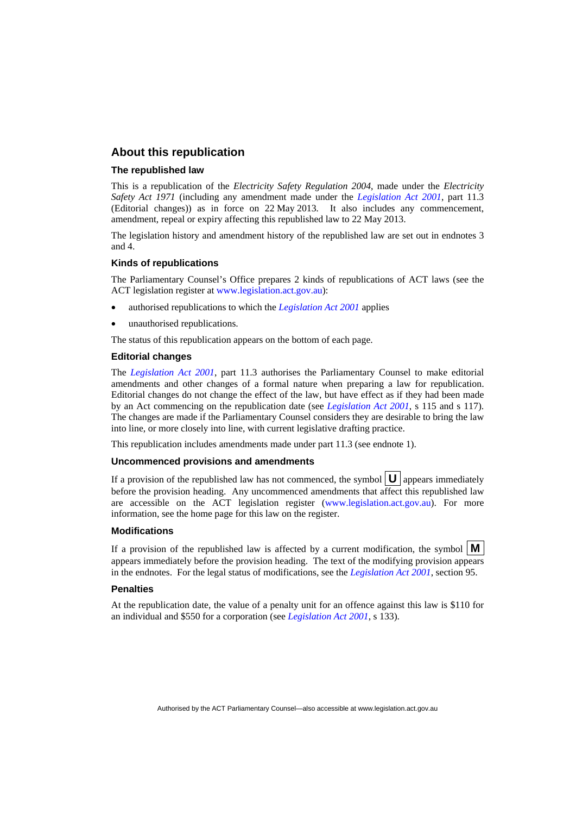#### **About this republication**

#### **The republished law**

This is a republication of the *Electricity Safety Regulation 2004*, made under the *Electricity Safety Act 1971* (including any amendment made under the *[Legislation Act 2001](http://www.legislation.act.gov.au/a/2001-14)*, part 11.3 (Editorial changes)) as in force on 22 May 2013*.* It also includes any commencement, amendment, repeal or expiry affecting this republished law to 22 May 2013.

The legislation history and amendment history of the republished law are set out in endnotes 3 and 4.

#### **Kinds of republications**

The Parliamentary Counsel's Office prepares 2 kinds of republications of ACT laws (see the ACT legislation register at [www.legislation.act.gov.au](http://www.legislation.act.gov.au/)):

- authorised republications to which the *[Legislation Act 2001](http://www.legislation.act.gov.au/a/2001-14)* applies
- unauthorised republications.

The status of this republication appears on the bottom of each page.

#### **Editorial changes**

The *[Legislation Act 2001](http://www.legislation.act.gov.au/a/2001-14)*, part 11.3 authorises the Parliamentary Counsel to make editorial amendments and other changes of a formal nature when preparing a law for republication. Editorial changes do not change the effect of the law, but have effect as if they had been made by an Act commencing on the republication date (see *[Legislation Act 2001](http://www.legislation.act.gov.au/a/2001-14)*, s 115 and s 117). The changes are made if the Parliamentary Counsel considers they are desirable to bring the law into line, or more closely into line, with current legislative drafting practice.

This republication includes amendments made under part 11.3 (see endnote 1).

#### **Uncommenced provisions and amendments**

If a provision of the republished law has not commenced, the symbol  $\mathbf{U}$  appears immediately before the provision heading. Any uncommenced amendments that affect this republished law are accessible on the ACT legislation register [\(www.legislation.act.gov.au\)](http://www.legislation.act.gov.au/). For more information, see the home page for this law on the register.

#### **Modifications**

If a provision of the republished law is affected by a current modification, the symbol  $\mathbf{M}$ appears immediately before the provision heading. The text of the modifying provision appears in the endnotes. For the legal status of modifications, see the *[Legislation Act 2001](http://www.legislation.act.gov.au/a/2001-14)*, section 95.

#### **Penalties**

At the republication date, the value of a penalty unit for an offence against this law is \$110 for an individual and \$550 for a corporation (see *[Legislation Act 2001](http://www.legislation.act.gov.au/a/2001-14)*, s 133).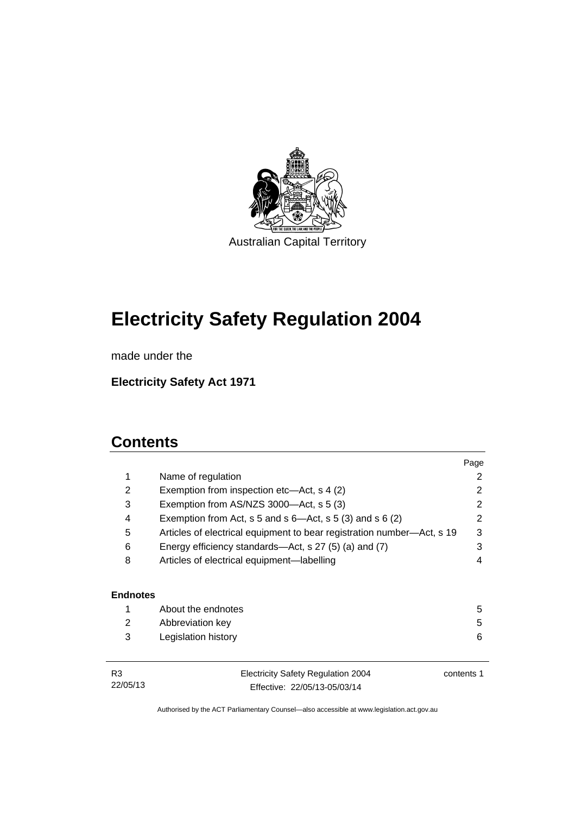

# **Electricity Safety Regulation 2004**

made under the

**Electricity Safety Act 1971** 

# **Contents**

|                 |                                                                        | Page       |
|-----------------|------------------------------------------------------------------------|------------|
| 1               | Name of regulation                                                     | 2          |
| 2               | Exemption from inspection etc—Act, s 4 (2)                             | 2          |
| 3               | Exemption from AS/NZS 3000-Act, s 5 (3)                                | 2          |
| 4               | Exemption from Act, s 5 and s $6$ —Act, s 5 (3) and s 6 (2)            | 2          |
| 5               | Articles of electrical equipment to bear registration number—Act, s 19 | 3          |
| 6               | Energy efficiency standards—Act, s 27 (5) (a) and (7)                  | 3          |
| 8               | Articles of electrical equipment-labelling                             | 4          |
|                 |                                                                        |            |
| <b>Endnotes</b> |                                                                        |            |
| 1               | About the endnotes                                                     | 5          |
| 2               | Abbreviation key                                                       | 5          |
| 3               | Legislation history                                                    | 6          |
| R3              | <b>Electricity Safety Regulation 2004</b>                              | contents 1 |

22/05/13

Electricity Safety Regulation 2004 Effective: 22/05/13-05/03/14

contents 1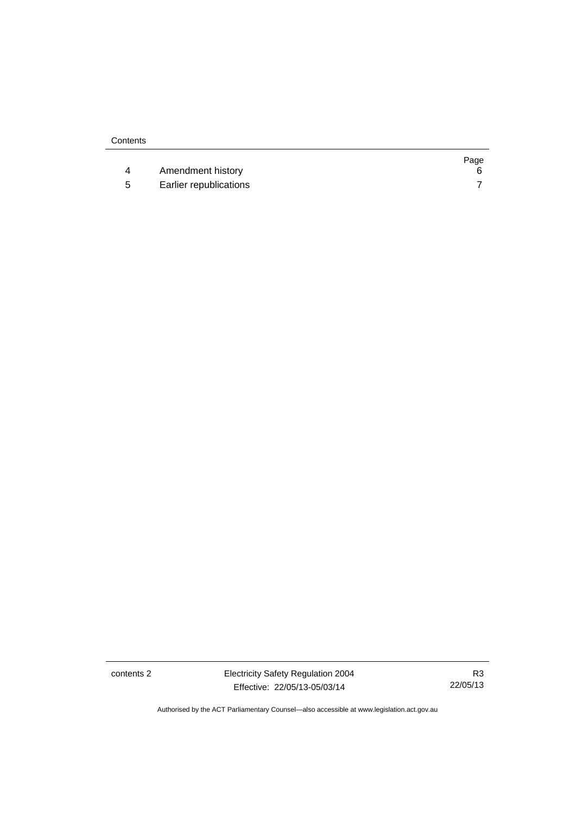|    |                        | Page |
|----|------------------------|------|
|    | Amendment history      |      |
| -5 | Earlier republications |      |

contents 2 Electricity Safety Regulation 2004 Effective: 22/05/13-05/03/14

R3 22/05/13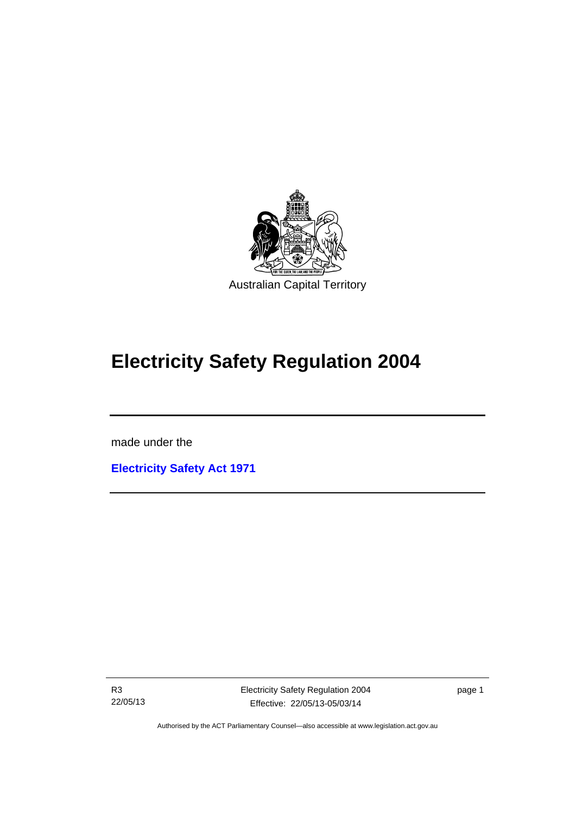

# **Electricity Safety Regulation 2004**

made under the

I

**[Electricity Safety Act 1971](http://www.legislation.act.gov.au/a/1971-30)**

R3 22/05/13 Electricity Safety Regulation 2004 Effective: 22/05/13-05/03/14

page 1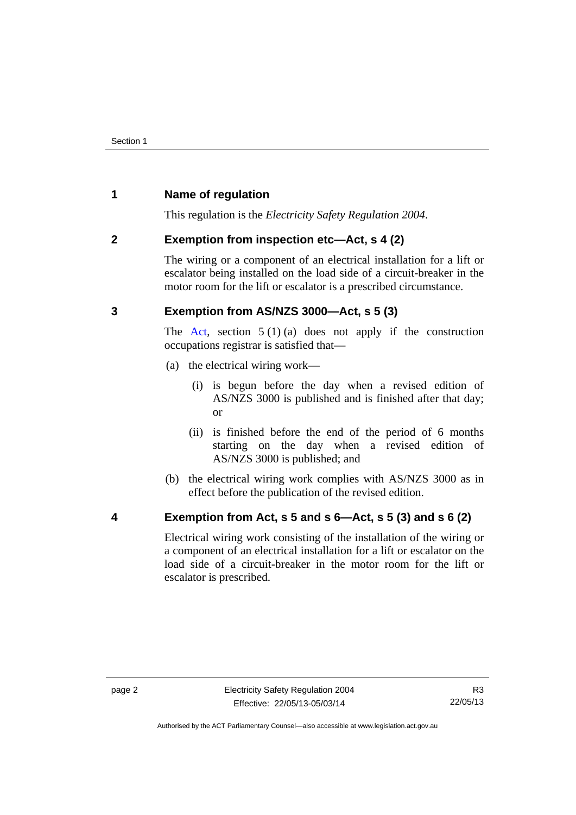# <span id="page-5-0"></span>**1 Name of regulation**

This regulation is the *Electricity Safety Regulation 2004*.

# <span id="page-5-1"></span>**2 Exemption from inspection etc—Act, s 4 (2)**

The wiring or a component of an electrical installation for a lift or escalator being installed on the load side of a circuit-breaker in the motor room for the lift or escalator is a prescribed circumstance.

# <span id="page-5-2"></span>**3 Exemption from AS/NZS 3000—Act, s 5 (3)**

The [Act](http://www.legislation.act.gov.au/a/1971-30/default.asp), section  $5(1)(a)$  does not apply if the construction occupations registrar is satisfied that—

- (a) the electrical wiring work—
	- (i) is begun before the day when a revised edition of AS/NZS 3000 is published and is finished after that day; or
	- (ii) is finished before the end of the period of 6 months starting on the day when a revised edition of AS/NZS 3000 is published; and
- (b) the electrical wiring work complies with AS/NZS 3000 as in effect before the publication of the revised edition.
- <span id="page-5-3"></span>

# **4 Exemption from Act, s 5 and s 6—Act, s 5 (3) and s 6 (2)**

Electrical wiring work consisting of the installation of the wiring or a component of an electrical installation for a lift or escalator on the load side of a circuit-breaker in the motor room for the lift or escalator is prescribed.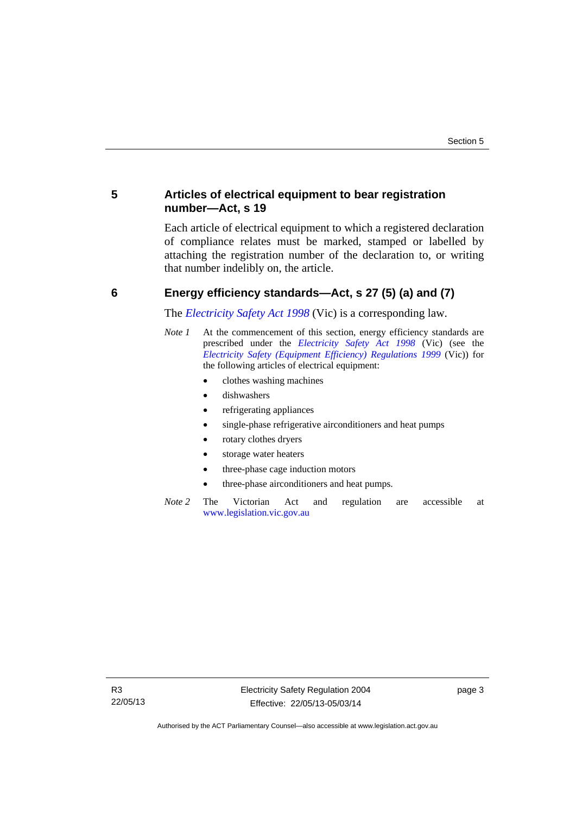# <span id="page-6-0"></span>**5 Articles of electrical equipment to bear registration number—Act, s 19**

Each article of electrical equipment to which a registered declaration of compliance relates must be marked, stamped or labelled by attaching the registration number of the declaration to, or writing that number indelibly on, the article.

# <span id="page-6-1"></span>**6 Energy efficiency standards—Act, s 27 (5) (a) and (7)**

The *[Electricity Safety Act 1998](http://www.legislation.vic.gov.au/)* (Vic) is a corresponding law.

- *Note 1* At the commencement of this section, energy efficiency standards are prescribed under the *[Electricity Safety Act 1998](http://www.legislation.vic.gov.au/)* (Vic) (see the *[Electricity Safety \(Equipment Efficiency\) Regulations 1999](http://www.legislation.vic.gov.au/)* (Vic)) for the following articles of electrical equipment:
	- clothes washing machines
	- dishwashers
	- refrigerating appliances
	- single-phase refrigerative airconditioners and heat pumps
	- rotary clothes dryers
	- storage water heaters
	- three-phase cage induction motors
	- three-phase airconditioners and heat pumps.
- *Note 2* The Victorian Act and regulation are accessible at [www.legislation.vic.gov.au](http://www.legislation.vic.gov.au/)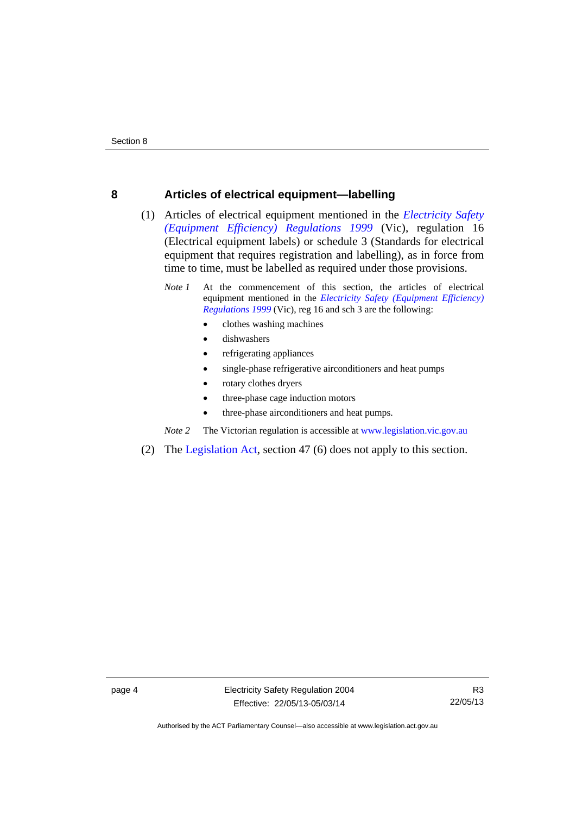#### <span id="page-7-0"></span>**8 Articles of electrical equipment—labelling**

- (1) Articles of electrical equipment mentioned in the *[Electricity Safety](http://www.legislation.vic.gov.au/)  [\(Equipment Efficiency\) Regulations 1999](http://www.legislation.vic.gov.au/)* (Vic), regulation 16 (Electrical equipment labels) or schedule 3 (Standards for electrical equipment that requires registration and labelling), as in force from time to time, must be labelled as required under those provisions.
	- *Note 1* At the commencement of this section, the articles of electrical equipment mentioned in the *[Electricity Safety \(Equipment Efficiency\)](http://www.legislation.vic.gov.au/)  [Regulations 1999](http://www.legislation.vic.gov.au/)* (Vic), reg 16 and sch 3 are the following:
		- clothes washing machines
		- dishwashers
		- refrigerating appliances
		- single-phase refrigerative airconditioners and heat pumps
		- rotary clothes dryers
		- three-phase cage induction motors
		- three-phase airconditioners and heat pumps.

*Note 2* The Victorian regulation is accessible at [www.legislation.vic.gov.au](http://www.legislation.vic.gov.au/)

(2) The [Legislation Act](http://www.legislation.act.gov.au/a/2001-14), section 47 (6) does not apply to this section.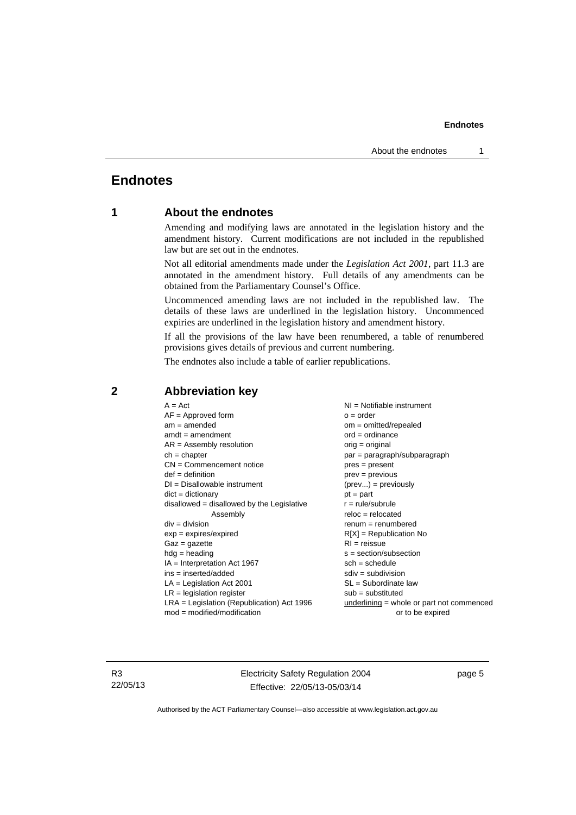#### **Endnotes**

# <span id="page-8-0"></span>**Endnotes**

### **1 About the endnotes**

Amending and modifying laws are annotated in the legislation history and the amendment history. Current modifications are not included in the republished law but are set out in the endnotes.

Not all editorial amendments made under the *Legislation Act 2001*, part 11.3 are annotated in the amendment history. Full details of any amendments can be obtained from the Parliamentary Counsel's Office.

Uncommenced amending laws are not included in the republished law. The details of these laws are underlined in the legislation history. Uncommenced expiries are underlined in the legislation history and amendment history.

If all the provisions of the law have been renumbered, a table of renumbered provisions gives details of previous and current numbering.

The endnotes also include a table of earlier republications.

| $A = Act$                                    | $NI =$ Notifiable instrument              |
|----------------------------------------------|-------------------------------------------|
| $AF =$ Approved form                         | $o = order$                               |
| $am = amended$                               | $om = omitted/repealed$                   |
| $amdt = amendment$                           | $ord = ordinance$                         |
| $AR = Assembly resolution$                   | $orig = original$                         |
| $ch = chapter$                               | par = paragraph/subparagraph              |
| $CN =$ Commencement notice                   | $pres = present$                          |
| $def = definition$                           | $prev = previous$                         |
| $DI = Disallowable instrument$               | $(\text{prev}) = \text{previously}$       |
| $dict = dictionary$                          | $pt = part$                               |
| disallowed = disallowed by the Legislative   | $r = rule/subrule$                        |
| Assembly                                     | $reloc = relocated$                       |
| $div =$ division                             | $renum = renumbered$                      |
| $exp = expires/expired$                      | $R[X]$ = Republication No                 |
| $Gaz = gazette$                              | $RI = reissue$                            |
| $hdg = heading$                              | $s = section/subsection$                  |
| $IA = Interpretation Act 1967$               | $sch = schedule$                          |
| ins = inserted/added                         | $sdiv = subdivision$                      |
| $LA =$ Legislation Act 2001                  | $SL = Subordinate$ law                    |
| $LR =$ legislation register                  | $sub =$ substituted                       |
| $LRA =$ Legislation (Republication) Act 1996 | underlining = whole or part not commenced |
| $mod = modified/modification$                | or to be expired                          |
|                                              |                                           |

# <span id="page-8-2"></span>**2 Abbreviation key**

R3 22/05/13 Electricity Safety Regulation 2004 Effective: 22/05/13-05/03/14

page 5

<span id="page-8-1"></span>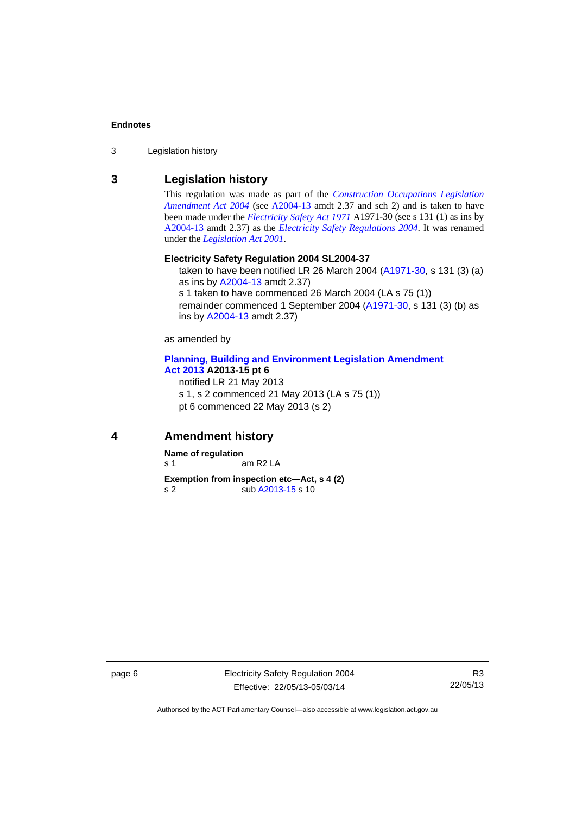#### **Endnotes**

3 Legislation history

## <span id="page-9-0"></span>**3 Legislation history**

This regulation was made as part of the *[Construction Occupations Legislation](http://www.legislation.act.gov.au/a/2004-13)  [Amendment Act 2004](http://www.legislation.act.gov.au/a/2004-13)* (see [A2004-13](http://www.legislation.act.gov.au/a/2004-13) amdt 2.37 and sch 2) and is taken to have been made under the *[Electricity Safety Act 1971](http://www.legislation.act.gov.au/a/1971-30)* A1971-30 (see s 131 (1) as ins by [A2004-13](http://www.legislation.act.gov.au/a/2004-13) amdt 2.37) as the *[Electricity Safety Regulations 2004](http://www.legislation.act.gov.au/sl/2004-37)*. It was renamed under the *[Legislation Act 2001](http://www.legislation.act.gov.au/a/2001-14)*.

#### **Electricity Safety Regulation 2004 SL2004-37**

taken to have been notified LR 26 March 2004 [\(A1971-30,](http://www.legislation.act.gov.au/a/1971-30) s 131 (3) (a) as ins by [A2004-13](http://www.legislation.act.gov.au/a/2004-13) amdt 2.37) s 1 taken to have commenced 26 March 2004 (LA s 75 (1)) remainder commenced 1 September 2004 [\(A1971-30,](http://www.legislation.act.gov.au/a/1971-30) s 131 (3) (b) as ins by [A2004-13](http://www.legislation.act.gov.au/a/2004-13) amdt 2.37)

as amended by

#### **[Planning, Building and Environment Legislation Amendment](http://www.legislation.act.gov.au/a/2013-15)  [Act 2013](http://www.legislation.act.gov.au/a/2013-15) A2013-15 pt 6**

notified LR 21 May 2013 s 1, s 2 commenced 21 May 2013 (LA s 75 (1)) pt 6 commenced 22 May 2013 (s 2)

#### <span id="page-9-1"></span>**4 Amendment history**

**Name of regulation**  s 1 am R2 LA

**Exemption from inspection etc—Act, s 4 (2)**  s 2 sub [A2013-15](http://www.legislation.act.gov.au/a/2013-15/default.asp) s 10

page 6 Electricity Safety Regulation 2004 Effective: 22/05/13-05/03/14

R3 22/05/13